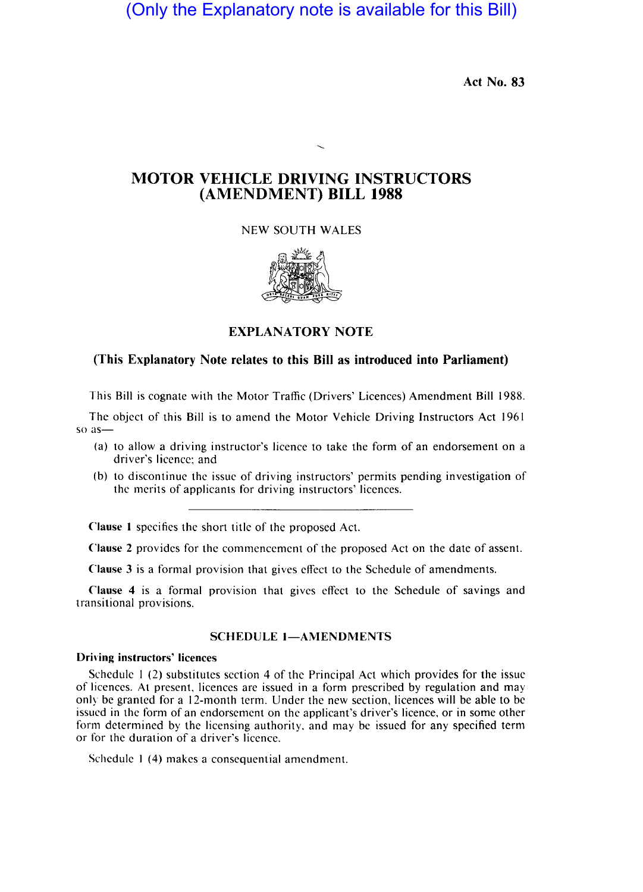(Only the Explanatory note is available for this Bill)

Act No. 83

# MOTOR VEHICLE DRIVING INSTRUCTORS (AMENDMENT) BILL 1988

NEW SOUTH WALES



EXPLANATORY NOTE

## (This Explanatory Note relates to this Bill as introduced into Parliament)

This Bill is cognate with the Motor Traffic (Drivers' Licences) Amendment Bill 1988.

The object of this Bill is to amend the Motor Vehicle Driving Instructors Act 1961 so as-

- (a) to allow a driving instructor's licence to take the form of an endorsement on a driver's licence: and
- (b) to discontinue the issue of driving instructors' permits pending investigation of the merits of applicants for driving instructors' licences.

Clause I specifies the short title of the proposed Act.

Clause 2 provides for the commencement of the proposed Act on the date of assent.

Clause 3 is a formal provision that gives effect to the Schedule of amendments.

Clause 4 is a formal provision that gives effect to the Schedule of savings and transitional provisions.

## SCHEDULE 1-AMENDMENTS

#### Driving instructors' licences

Schedule I (2) substitutes section 4 of the Principal Act which provides for the issue of licences. At present. licences are issued in a form prescribed by regulation and may only be granted for a 12-month term. Under the new section, licences will be able to be issued in the form of an endorsement on the applicant's driver's licence. or in some other form determined by the licensing authority, and may be issued for any specified term or for the duration of a driver's licence.

Schedule 1 (4) makes a consequential amendment.